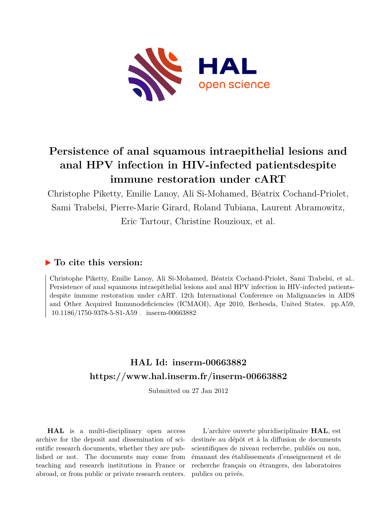

# **Persistence of anal squamous intraepithelial lesions and anal HPV infection in HIV-infected patientsdespite immune restoration under cART**

Christophe Piketty, Emilie Lanoy, Ali Si-Mohamed, Béatrix Cochand-Priolet, Sami Trabelsi, Pierre-Marie Girard, Roland Tubiana, Laurent Abramowitz, Eric Tartour, Christine Rouzioux, et al.

## **To cite this version:**

Christophe Piketty, Emilie Lanoy, Ali Si-Mohamed, Béatrix Cochand-Priolet, Sami Trabelsi, et al.. Persistence of anal squamous intraepithelial lesions and anal HPV infection in HIV-infected patientsdespite immune restoration under cART. 12th International Conference on Malignancies in AIDS and Other Acquired Immunodeficiencies (ICMAOI), Apr 2010, Bethesda, United States. pp.A59,  $10.1186/1750-9378-5-S1-A59$ . inserm-00663882

# **HAL Id: inserm-00663882 <https://www.hal.inserm.fr/inserm-00663882>**

Submitted on 27 Jan 2012

**HAL** is a multi-disciplinary open access archive for the deposit and dissemination of scientific research documents, whether they are published or not. The documents may come from teaching and research institutions in France or abroad, or from public or private research centers.

L'archive ouverte pluridisciplinaire **HAL**, est destinée au dépôt et à la diffusion de documents scientifiques de niveau recherche, publiés ou non, émanant des établissements d'enseignement et de recherche français ou étrangers, des laboratoires publics ou privés.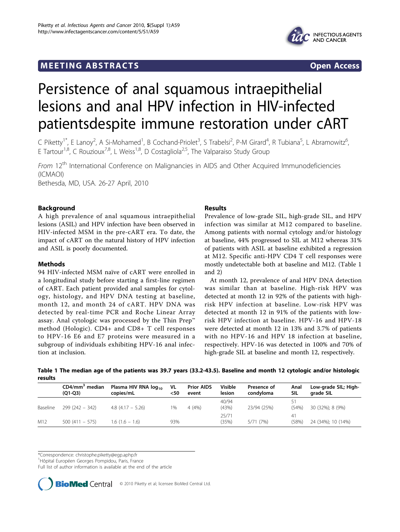# **MEETING ABSTRACTS** And the state of the state of the state of the state of the state of the state of the state of the state of the state of the state of the state of the state of the state of the state of the state of the



# Persistence of anal squamous intraepithelial lesions and anal HPV infection in HIV-infected patientsdespite immune restoration under cART

C Piketty<sup>1\*</sup>, E Lanoy<sup>2</sup>, A Si-Mohamed<sup>1</sup>, B Cochand-Priolet<sup>3</sup>, S Trabelsi<sup>2</sup>, P-M Girard<sup>4</sup>, R Tubiana<sup>5</sup>, L Abramowitz<sup>6</sup> י<br>, E Tartour<sup>1,8</sup>, C Rouzioux<sup>7,8</sup>, L Weiss<sup>1,8</sup>, D Costagliola<sup>2,5</sup>, The Valparaiso Study Group

From 12<sup>th</sup> International Conference on Malignancies in AIDS and Other Acquired Immunodeficiencies (ICMAOI) Bethesda, MD, USA. 26-27 April, 2010

Background

A high prevalence of anal squamous intraepithelial lesions (ASIL) and HPV infection have been observed in HIV-infected MSM in the pre-cART era. To date, the impact of cART on the natural history of HPV infection and ASIL is poorly documented.

## Methods

94 HIV-infected MSM naïve of cART were enrolled in a longitudinal study before starting a first-line regimen of cART. Each patient provided anal samples for cytology, histology, and HPV DNA testing at baseline, month 12, and month 24 of cART. HPV DNA was detected by real-time PCR and Roche Linear Array assay. Anal cytologic was processed by the Thin Prep™ method (Hologic). CD4+ and CD8+ T cell responses to HPV-16 E6 and E7 proteins were measured in a subgroup of individuals exhibiting HPV-16 anal infection at inclusion.

## Results

Prevalence of low-grade SIL, high-grade SIL, and HPV infection was similar at M12 compared to baseline. Among patients with normal cytology and/or histology at baseline, 44% progressed to SIL at M12 whereas 31% of patients with ASIL at baseline exhibited a regression at M12. Specific anti-HPV CD4 T cell responses were mostly undetectable both at baseline and M12. (Table 1 and 2)

At month 12, prevalence of anal HPV DNA detection was similar than at baseline. High-risk HPV was detected at month 12 in 92% of the patients with highrisk HPV infection at baseline. Low-risk HPV was detected at month 12 in 91% of the patients with lowrisk HPV infection at baseline. HPV-16 and HPV-18 were detected at month 12 in 13% and 3.7% of patients with no HPV-16 and HPV 18 infection at baseline, respectively. HPV-16 was detected in 100% and 70% of high-grade SIL at baseline and month 12, respectively.

|         |  | Table 1 The median age of the patients was 39.7 years (33.2-43.5). Baseline and month 12 cytologic and/or histologic |  |  |  |  |
|---------|--|----------------------------------------------------------------------------------------------------------------------|--|--|--|--|
| results |  |                                                                                                                      |  |  |  |  |

|          | $CD4/mm3$ median<br>$(Q1-Q3)$ | Plasma HIV RNA $log_{10}$<br>copies/mL | VL<br><50 | <b>Prior AIDS</b><br>event | Visible<br>lesion | Presence of<br>condvloma | Anal<br>SIL | Low-grade SIL; High-<br>grade SIL |
|----------|-------------------------------|----------------------------------------|-----------|----------------------------|-------------------|--------------------------|-------------|-----------------------------------|
| Baseline | $299(242 - 342)$              | $4.8(4.17 - 5.26)$                     | 1%        | 4(4%)                      | 40/94<br>(43%)    | 23/94 (25%)              | (54%)       | 30 (32%); 8 (9%)                  |
| M12      | $500(411 - 575)$              | $1.6(1.6 - 1.6)$                       | 93%       |                            | 25/71<br>(35%)    | 5/71 (7%)                | 41<br>(58%) | 24 (34%); 10 (14%)                |

\*Correspondence: [christophe.piketty@egp.aphp.fr](mailto:christophe.piketty@egp.aphp.fr)

<sup>1</sup>Hôpital Européen Georges Pompidou, Paris, France

Full list of author information is available at the end of the article